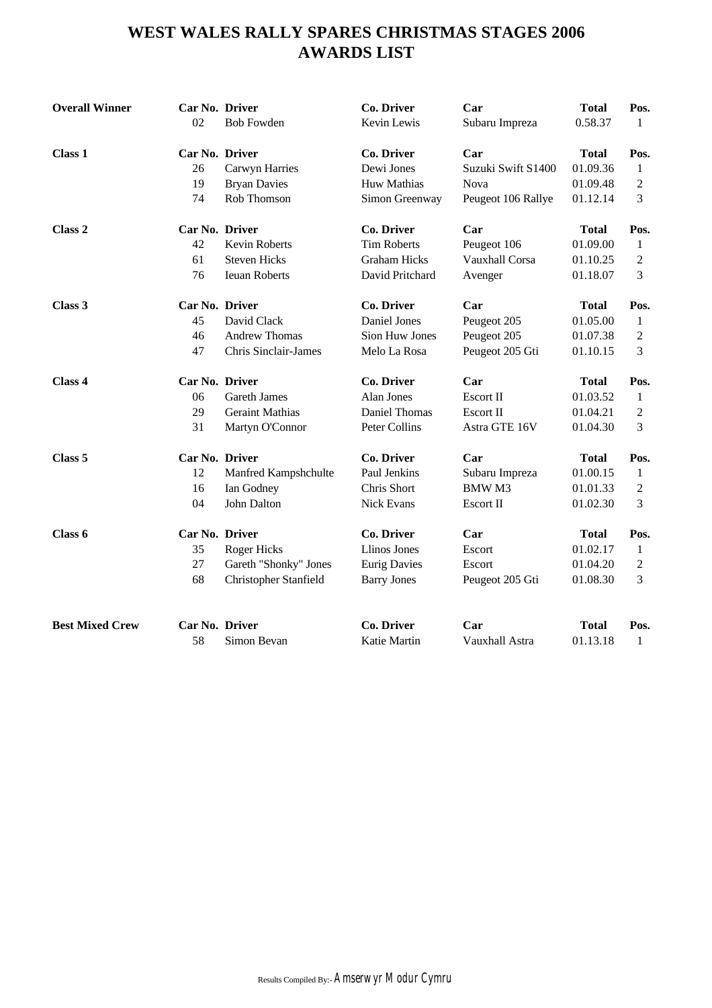# **WEST WALES RALLY SPARES CHRISTMAS STAGES 2006 AWARDS LIST**

| Car No. Driver<br>Co. Driver<br>Car<br><b>Total</b><br>Pos.<br>Dewi Jones<br>01.09.36<br>26<br>Suzuki Swift S1400<br>Carwyn Harries<br>$\mathbf{1}$<br>19<br>Huw Mathias<br>$\mathfrak{2}$<br><b>Bryan Davies</b><br>Nova<br>01.09.48<br>74<br>Rob Thomson<br>3<br>Simon Greenway<br>Peugeot 106 Rallye<br>01.12.14<br>Car No. Driver<br>Co. Driver<br>Class 2<br>Car<br><b>Total</b><br>Pos.<br><b>Tim Roberts</b><br>42<br>Kevin Roberts<br>01.09.00<br>Peugeot 106<br>$\mathbf{1}$<br><b>Steven Hicks</b><br><b>Graham Hicks</b><br>61<br>Vauxhall Corsa<br>01.10.25<br>$\overline{c}$<br>76<br>3<br><b>Ieuan Roberts</b><br>David Pritchard<br>01.18.07<br>Avenger<br>Car No. Driver<br>Co. Driver<br>Car<br><b>Total</b><br>Pos.<br>45<br>David Clack<br>Daniel Jones<br>01.05.00<br>Peugeot 205<br>1<br><b>Andrew Thomas</b><br><b>Sion Huw Jones</b><br>Peugeot 205<br>46<br>01.07.38<br>$\mathfrak{2}$<br>47<br><b>Chris Sinclair-James</b><br>3<br>Melo La Rosa<br>Peugeot 205 Gti<br>01.10.15<br>Car No. Driver<br>Co. Driver<br>Car<br><b>Total</b><br>Class 4<br>Pos.<br><b>Gareth James</b><br>Alan Jones<br>06<br>Escort II<br>01.03.52<br>$\mathbf{1}$<br>29<br><b>Daniel Thomas</b><br><b>Geraint Mathias</b><br>Escort II<br>01.04.21<br>2<br>31<br><b>Peter Collins</b><br>Astra GTE 16V<br>3<br>Martyn O'Connor<br>01.04.30<br>Car No. Driver<br>Co. Driver<br>Car<br>Class 5<br><b>Total</b><br>Pos.<br>12<br>Paul Jenkins<br>01.00.15<br>Manfred Kampshchulte<br>Subaru Impreza<br>$\mathbf{1}$<br>Chris Short<br><b>BMWM3</b><br>16<br>Ian Godney<br>01.01.33<br>2<br>04<br>John Dalton<br>Nick Evans<br>01.02.30<br>3<br>Escort II<br>Car No. Driver<br>Co. Driver<br>Car<br>Class 6<br><b>Total</b><br>Pos.<br><b>Llinos Jones</b><br>35<br><b>Roger Hicks</b><br>01.02.17<br>Escort<br>$\mathbf{1}$<br>27<br>Gareth "Shonky" Jones<br><b>Eurig Davies</b><br>01.04.20<br>$\overline{c}$<br>Escort<br>3<br>68<br>Christopher Stanfield<br>Peugeot 205 Gti<br>01.08.30<br><b>Barry Jones</b><br><b>Best Mixed Crew</b><br>Car No. Driver<br><b>Co. Driver</b><br>Car<br><b>Total</b><br>Pos.<br>58<br>Simon Bevan<br>Katie Martin<br>Vauxhall Astra<br>01.13.18<br>$\mathbf{1}$ | <b>Overall Winner</b> | Car No. Driver<br>02 | <b>Bob Fowden</b> | Co. Driver<br>Kevin Lewis | Car<br>Subaru Impreza | <b>Total</b><br>0.58.37 | Pos.<br>1 |
|--------------------------------------------------------------------------------------------------------------------------------------------------------------------------------------------------------------------------------------------------------------------------------------------------------------------------------------------------------------------------------------------------------------------------------------------------------------------------------------------------------------------------------------------------------------------------------------------------------------------------------------------------------------------------------------------------------------------------------------------------------------------------------------------------------------------------------------------------------------------------------------------------------------------------------------------------------------------------------------------------------------------------------------------------------------------------------------------------------------------------------------------------------------------------------------------------------------------------------------------------------------------------------------------------------------------------------------------------------------------------------------------------------------------------------------------------------------------------------------------------------------------------------------------------------------------------------------------------------------------------------------------------------------------------------------------------------------------------------------------------------------------------------------------------------------------------------------------------------------------------------------------------------------------------------------------------------------------------------------------------------------------------------------------------------------------------------------------------------------------------------------------------------------------------------------------------------|-----------------------|----------------------|-------------------|---------------------------|-----------------------|-------------------------|-----------|
|                                                                                                                                                                                                                                                                                                                                                                                                                                                                                                                                                                                                                                                                                                                                                                                                                                                                                                                                                                                                                                                                                                                                                                                                                                                                                                                                                                                                                                                                                                                                                                                                                                                                                                                                                                                                                                                                                                                                                                                                                                                                                                                                                                                                        | Class 1               |                      |                   |                           |                       |                         |           |
|                                                                                                                                                                                                                                                                                                                                                                                                                                                                                                                                                                                                                                                                                                                                                                                                                                                                                                                                                                                                                                                                                                                                                                                                                                                                                                                                                                                                                                                                                                                                                                                                                                                                                                                                                                                                                                                                                                                                                                                                                                                                                                                                                                                                        |                       |                      |                   |                           |                       |                         |           |
|                                                                                                                                                                                                                                                                                                                                                                                                                                                                                                                                                                                                                                                                                                                                                                                                                                                                                                                                                                                                                                                                                                                                                                                                                                                                                                                                                                                                                                                                                                                                                                                                                                                                                                                                                                                                                                                                                                                                                                                                                                                                                                                                                                                                        |                       |                      |                   |                           |                       |                         |           |
|                                                                                                                                                                                                                                                                                                                                                                                                                                                                                                                                                                                                                                                                                                                                                                                                                                                                                                                                                                                                                                                                                                                                                                                                                                                                                                                                                                                                                                                                                                                                                                                                                                                                                                                                                                                                                                                                                                                                                                                                                                                                                                                                                                                                        |                       |                      |                   |                           |                       |                         |           |
|                                                                                                                                                                                                                                                                                                                                                                                                                                                                                                                                                                                                                                                                                                                                                                                                                                                                                                                                                                                                                                                                                                                                                                                                                                                                                                                                                                                                                                                                                                                                                                                                                                                                                                                                                                                                                                                                                                                                                                                                                                                                                                                                                                                                        |                       |                      |                   |                           |                       |                         |           |
|                                                                                                                                                                                                                                                                                                                                                                                                                                                                                                                                                                                                                                                                                                                                                                                                                                                                                                                                                                                                                                                                                                                                                                                                                                                                                                                                                                                                                                                                                                                                                                                                                                                                                                                                                                                                                                                                                                                                                                                                                                                                                                                                                                                                        |                       |                      |                   |                           |                       |                         |           |
|                                                                                                                                                                                                                                                                                                                                                                                                                                                                                                                                                                                                                                                                                                                                                                                                                                                                                                                                                                                                                                                                                                                                                                                                                                                                                                                                                                                                                                                                                                                                                                                                                                                                                                                                                                                                                                                                                                                                                                                                                                                                                                                                                                                                        |                       |                      |                   |                           |                       |                         |           |
|                                                                                                                                                                                                                                                                                                                                                                                                                                                                                                                                                                                                                                                                                                                                                                                                                                                                                                                                                                                                                                                                                                                                                                                                                                                                                                                                                                                                                                                                                                                                                                                                                                                                                                                                                                                                                                                                                                                                                                                                                                                                                                                                                                                                        |                       |                      |                   |                           |                       |                         |           |
|                                                                                                                                                                                                                                                                                                                                                                                                                                                                                                                                                                                                                                                                                                                                                                                                                                                                                                                                                                                                                                                                                                                                                                                                                                                                                                                                                                                                                                                                                                                                                                                                                                                                                                                                                                                                                                                                                                                                                                                                                                                                                                                                                                                                        | Class 3               |                      |                   |                           |                       |                         |           |
|                                                                                                                                                                                                                                                                                                                                                                                                                                                                                                                                                                                                                                                                                                                                                                                                                                                                                                                                                                                                                                                                                                                                                                                                                                                                                                                                                                                                                                                                                                                                                                                                                                                                                                                                                                                                                                                                                                                                                                                                                                                                                                                                                                                                        |                       |                      |                   |                           |                       |                         |           |
|                                                                                                                                                                                                                                                                                                                                                                                                                                                                                                                                                                                                                                                                                                                                                                                                                                                                                                                                                                                                                                                                                                                                                                                                                                                                                                                                                                                                                                                                                                                                                                                                                                                                                                                                                                                                                                                                                                                                                                                                                                                                                                                                                                                                        |                       |                      |                   |                           |                       |                         |           |
|                                                                                                                                                                                                                                                                                                                                                                                                                                                                                                                                                                                                                                                                                                                                                                                                                                                                                                                                                                                                                                                                                                                                                                                                                                                                                                                                                                                                                                                                                                                                                                                                                                                                                                                                                                                                                                                                                                                                                                                                                                                                                                                                                                                                        |                       |                      |                   |                           |                       |                         |           |
|                                                                                                                                                                                                                                                                                                                                                                                                                                                                                                                                                                                                                                                                                                                                                                                                                                                                                                                                                                                                                                                                                                                                                                                                                                                                                                                                                                                                                                                                                                                                                                                                                                                                                                                                                                                                                                                                                                                                                                                                                                                                                                                                                                                                        |                       |                      |                   |                           |                       |                         |           |
|                                                                                                                                                                                                                                                                                                                                                                                                                                                                                                                                                                                                                                                                                                                                                                                                                                                                                                                                                                                                                                                                                                                                                                                                                                                                                                                                                                                                                                                                                                                                                                                                                                                                                                                                                                                                                                                                                                                                                                                                                                                                                                                                                                                                        |                       |                      |                   |                           |                       |                         |           |
|                                                                                                                                                                                                                                                                                                                                                                                                                                                                                                                                                                                                                                                                                                                                                                                                                                                                                                                                                                                                                                                                                                                                                                                                                                                                                                                                                                                                                                                                                                                                                                                                                                                                                                                                                                                                                                                                                                                                                                                                                                                                                                                                                                                                        |                       |                      |                   |                           |                       |                         |           |
|                                                                                                                                                                                                                                                                                                                                                                                                                                                                                                                                                                                                                                                                                                                                                                                                                                                                                                                                                                                                                                                                                                                                                                                                                                                                                                                                                                                                                                                                                                                                                                                                                                                                                                                                                                                                                                                                                                                                                                                                                                                                                                                                                                                                        |                       |                      |                   |                           |                       |                         |           |
|                                                                                                                                                                                                                                                                                                                                                                                                                                                                                                                                                                                                                                                                                                                                                                                                                                                                                                                                                                                                                                                                                                                                                                                                                                                                                                                                                                                                                                                                                                                                                                                                                                                                                                                                                                                                                                                                                                                                                                                                                                                                                                                                                                                                        |                       |                      |                   |                           |                       |                         |           |
|                                                                                                                                                                                                                                                                                                                                                                                                                                                                                                                                                                                                                                                                                                                                                                                                                                                                                                                                                                                                                                                                                                                                                                                                                                                                                                                                                                                                                                                                                                                                                                                                                                                                                                                                                                                                                                                                                                                                                                                                                                                                                                                                                                                                        |                       |                      |                   |                           |                       |                         |           |
|                                                                                                                                                                                                                                                                                                                                                                                                                                                                                                                                                                                                                                                                                                                                                                                                                                                                                                                                                                                                                                                                                                                                                                                                                                                                                                                                                                                                                                                                                                                                                                                                                                                                                                                                                                                                                                                                                                                                                                                                                                                                                                                                                                                                        |                       |                      |                   |                           |                       |                         |           |
|                                                                                                                                                                                                                                                                                                                                                                                                                                                                                                                                                                                                                                                                                                                                                                                                                                                                                                                                                                                                                                                                                                                                                                                                                                                                                                                                                                                                                                                                                                                                                                                                                                                                                                                                                                                                                                                                                                                                                                                                                                                                                                                                                                                                        |                       |                      |                   |                           |                       |                         |           |
|                                                                                                                                                                                                                                                                                                                                                                                                                                                                                                                                                                                                                                                                                                                                                                                                                                                                                                                                                                                                                                                                                                                                                                                                                                                                                                                                                                                                                                                                                                                                                                                                                                                                                                                                                                                                                                                                                                                                                                                                                                                                                                                                                                                                        |                       |                      |                   |                           |                       |                         |           |
|                                                                                                                                                                                                                                                                                                                                                                                                                                                                                                                                                                                                                                                                                                                                                                                                                                                                                                                                                                                                                                                                                                                                                                                                                                                                                                                                                                                                                                                                                                                                                                                                                                                                                                                                                                                                                                                                                                                                                                                                                                                                                                                                                                                                        |                       |                      |                   |                           |                       |                         |           |
|                                                                                                                                                                                                                                                                                                                                                                                                                                                                                                                                                                                                                                                                                                                                                                                                                                                                                                                                                                                                                                                                                                                                                                                                                                                                                                                                                                                                                                                                                                                                                                                                                                                                                                                                                                                                                                                                                                                                                                                                                                                                                                                                                                                                        |                       |                      |                   |                           |                       |                         |           |
|                                                                                                                                                                                                                                                                                                                                                                                                                                                                                                                                                                                                                                                                                                                                                                                                                                                                                                                                                                                                                                                                                                                                                                                                                                                                                                                                                                                                                                                                                                                                                                                                                                                                                                                                                                                                                                                                                                                                                                                                                                                                                                                                                                                                        |                       |                      |                   |                           |                       |                         |           |
|                                                                                                                                                                                                                                                                                                                                                                                                                                                                                                                                                                                                                                                                                                                                                                                                                                                                                                                                                                                                                                                                                                                                                                                                                                                                                                                                                                                                                                                                                                                                                                                                                                                                                                                                                                                                                                                                                                                                                                                                                                                                                                                                                                                                        |                       |                      |                   |                           |                       |                         |           |
|                                                                                                                                                                                                                                                                                                                                                                                                                                                                                                                                                                                                                                                                                                                                                                                                                                                                                                                                                                                                                                                                                                                                                                                                                                                                                                                                                                                                                                                                                                                                                                                                                                                                                                                                                                                                                                                                                                                                                                                                                                                                                                                                                                                                        |                       |                      |                   |                           |                       |                         |           |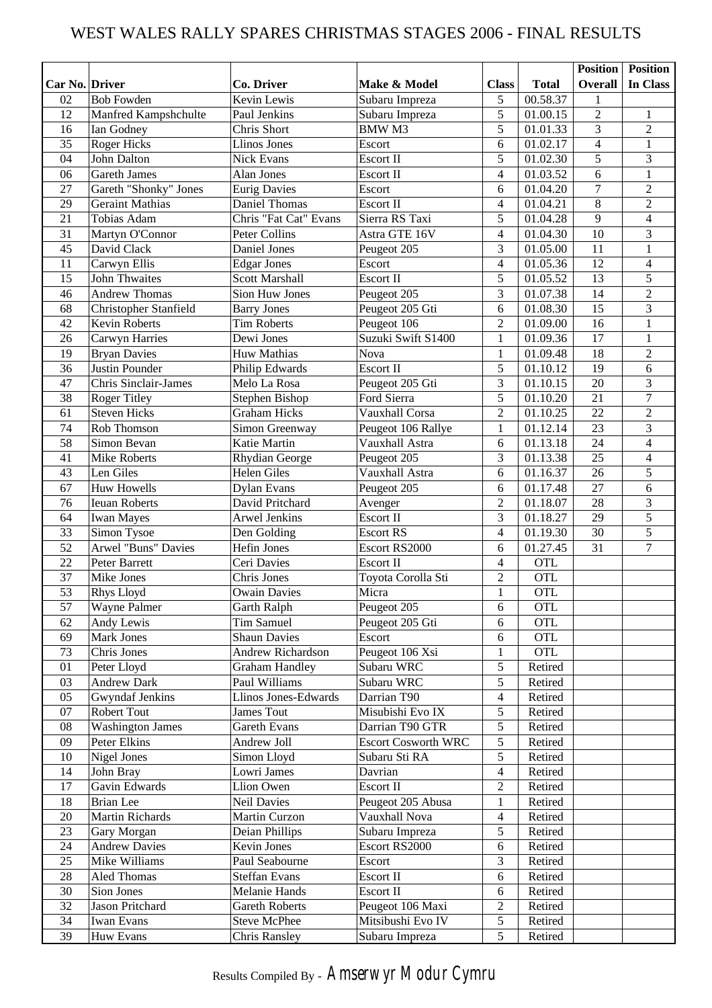## WEST WALES RALLY SPARES CHRISTMAS STAGES 2006 - FINAL RESULTS

|                |                             |                               |                            |                          |              | <b>Position</b>          | Position         |
|----------------|-----------------------------|-------------------------------|----------------------------|--------------------------|--------------|--------------------------|------------------|
| Car No. Driver |                             | Co. Driver                    | Make & Model               | <b>Class</b>             | <b>Total</b> | <b>Overall</b>           | In Class         |
| 02             | <b>Bob Fowden</b>           | Kevin Lewis                   | Subaru Impreza             | 5                        | 00.58.37     | 1                        |                  |
| 12             | Manfred Kampshchulte        | Paul Jenkins                  | Subaru Impreza             | 5                        | 01.00.15     | $\sqrt{2}$               | 1                |
| 16             | Ian Godney                  | Chris Short                   | <b>BMWM3</b>               | 5                        | 01.01.33     | 3                        | $\sqrt{2}$       |
| 35             | Roger Hicks                 | <b>Llinos Jones</b>           | Escort                     | 6                        | 01.02.17     | $\overline{\mathcal{L}}$ | $\mathbf{1}$     |
| 04             | John Dalton                 | Nick Evans                    | Escort II                  | 5                        | 01.02.30     | 5                        | $\mathfrak{Z}$   |
| 06             | <b>Gareth James</b>         | Alan Jones                    | Escort II                  | 4                        | 01.03.52     | 6                        | $\mathbf{1}$     |
| 27             | Gareth "Shonky" Jones       | <b>Eurig Davies</b>           | Escort                     | 6                        | 01.04.20     | $\overline{7}$           | $\overline{2}$   |
| 29             | <b>Geraint Mathias</b>      | Daniel Thomas                 | Escort II                  | 4                        | 01.04.21     | 8                        | $\overline{2}$   |
| 21             | Tobias Adam                 | Chris "Fat Cat" Evans         | Sierra RS Taxi             | 5                        | 01.04.28     | $\overline{9}$           | $\overline{4}$   |
| 31             | Martyn O'Connor             | Peter Collins                 | Astra GTE 16V              | 4                        | 01.04.30     | $\overline{10}$          | $\overline{3}$   |
| 45             | David Clack                 | Daniel Jones                  | Peugeot 205                | 3                        | 01.05.00     | 11                       | $\mathbf{1}$     |
| 11             | Carwyn Ellis                | <b>Edgar Jones</b>            | Escort                     | $\overline{\mathcal{L}}$ | 01.05.36     | 12                       | $\overline{4}$   |
| 15             | <b>John Thwaites</b>        | <b>Scott Marshall</b>         | Escort II                  | 5                        | 01.05.52     | 13                       | $\overline{5}$   |
| 46             | <b>Andrew Thomas</b>        | Sion Huw Jones                | Peugeot 205                | 3                        | 01.07.38     | 14                       | $\sqrt{2}$       |
| 68             | Christopher Stanfield       | <b>Barry Jones</b>            | Peugeot 205 Gti            | 6                        | 01.08.30     | 15                       | 3                |
| 42             | Kevin Roberts               | <b>Tim Roberts</b>            | Peugeot 106                | $\overline{2}$           | 01.09.00     | 16                       | $\mathbf{1}$     |
| 26             | Carwyn Harries              | Dewi Jones                    | Suzuki Swift S1400         | $\mathbf{1}$             | 01.09.36     | 17                       | $\,1\,$          |
| 19             | <b>Bryan Davies</b>         | Huw Mathias                   | <b>Nova</b>                | $\mathbf{1}$             | 01.09.48     | 18                       | $\overline{2}$   |
| 36             | Justin Pounder              | Philip Edwards                | Escort II                  | 5                        | 01.10.12     | 19                       | 6                |
| 47             | <b>Chris Sinclair-James</b> | Melo La Rosa                  | Peugeot 205 Gti            | 3                        | 01.10.15     | 20                       | $\overline{3}$   |
| 38             | <b>Roger Titley</b>         | Stephen Bishop                | Ford Sierra                | 5                        | 01.10.20     | $\overline{21}$          | $\boldsymbol{7}$ |
| 61             | <b>Steven Hicks</b>         | <b>Graham Hicks</b>           | Vauxhall Corsa             | $\overline{2}$           | 01.10.25     | $\overline{22}$          | $\sqrt{2}$       |
| 74             | Rob Thomson                 | Simon Greenway                | Peugeot 106 Rallye         | $\mathbf{1}$             | 01.12.14     | $\overline{23}$          | $\overline{3}$   |
| 58             | Simon Bevan                 | Katie Martin                  | Vauxhall Astra             | 6                        | 01.13.18     | $\overline{24}$          | $\overline{4}$   |
| 41             | <b>Mike Roberts</b>         |                               | Peugeot 205                | 3                        | 01.13.38     | 25                       | $\overline{4}$   |
| 43             | Len Giles                   | Rhydian George<br>Helen Giles | Vauxhall Astra             | 6                        | 01.16.37     | 26                       | $\overline{5}$   |
| 67             | <b>Huw Howells</b>          |                               |                            | 6                        | 01.17.48     | 27                       | 6                |
|                |                             | <b>Dylan Evans</b>            | Peugeot 205                |                          |              |                          |                  |
| 76             | <b>Ieuan Roberts</b>        | David Pritchard               | Avenger                    | $\overline{2}$           | 01.18.07     | 28                       | 3                |
| 64             | <b>Iwan Mayes</b>           | Arwel Jenkins                 | Escort II                  | 3                        | 01.18.27     | 29                       | 5                |
| 33             | Simon Tysoe                 | Den Golding                   | <b>Escort RS</b>           | $\overline{\mathcal{L}}$ | 01.19.30     | 30                       | 5                |
| 52             | <b>Arwel "Buns" Davies</b>  | Hefin Jones                   | Escort RS2000              | 6                        | 01.27.45     | $\overline{31}$          | $\overline{7}$   |
| 22             | Peter Barrett               | Ceri Davies                   | Escort II                  | $\overline{\mathcal{L}}$ | OTL          |                          |                  |
| 37             | Mike Jones                  | Chris Jones                   | Toyota Corolla Sti         | $\overline{c}$           | <b>OTL</b>   |                          |                  |
| 53             | <b>Rhys Lloyd</b>           | <b>Owain Davies</b>           | Micra                      | $\mathbf{1}$             | <b>OTL</b>   |                          |                  |
| 57             | <b>Wayne Palmer</b>         | Garth Ralph                   | Peugeot 205                | 6                        | <b>OTL</b>   |                          |                  |
| 62             | Andy Lewis                  | Tim Samuel                    | Peugeot 205 Gti            | 6                        | <b>OTL</b>   |                          |                  |
| 69             | Mark Jones                  | <b>Shaun Davies</b>           | Escort                     | 6                        | <b>OTL</b>   |                          |                  |
| 73             | Chris Jones                 | Andrew Richardson             | Peugeot 106 Xsi            | $\mathbf{1}$             | <b>OTL</b>   |                          |                  |
| 01             | Peter Lloyd                 | <b>Graham Handley</b>         | Subaru WRC                 | 5                        | Retired      |                          |                  |
| 03             | Andrew Dark                 | Paul Williams                 | Subaru WRC                 | 5                        | Retired      |                          |                  |
| 05             | Gwyndaf Jenkins             | Llinos Jones-Edwards          | Darrian T90                | $\overline{\mathcal{A}}$ | Retired      |                          |                  |
| 07             | Robert Tout                 | James Tout                    | Misubishi Evo IX           | 5                        | Retired      |                          |                  |
| 08             | <b>Washington James</b>     | Gareth Evans                  | Darrian T90 GTR            | 5                        | Retired      |                          |                  |
| 09             | Peter Elkins                | Andrew Joll                   | <b>Escort Cosworth WRC</b> | 5                        | Retired      |                          |                  |
| 10             | <b>Nigel Jones</b>          | Simon Lloyd                   | Subaru Sti RA              | 5                        | Retired      |                          |                  |
| 14             | John Bray                   | Lowri James                   | Davrian                    | 4                        | Retired      |                          |                  |
| 17             | Gavin Edwards               | Llion Owen                    | Escort II                  | $\overline{2}$           | Retired      |                          |                  |
| 18             | <b>Brian</b> Lee            | Neil Davies                   | Peugeot 205 Abusa          | $\mathbf{1}$             | Retired      |                          |                  |
| 20             | Martin Richards             | Martin Curzon                 | Vauxhall Nova              | $\overline{4}$           | Retired      |                          |                  |
| 23             | Gary Morgan                 | Deian Phillips                | Subaru Impreza             | 5                        | Retired      |                          |                  |
| 24             | <b>Andrew Davies</b>        | Kevin Jones                   | Escort RS2000              | 6                        | Retired      |                          |                  |
| 25             | Mike Williams               | Paul Seabourne                | Escort                     | 3                        | Retired      |                          |                  |
| 28             | Aled Thomas                 | <b>Steffan Evans</b>          | Escort II                  | 6                        | Retired      |                          |                  |
| 30             | Sion Jones                  | Melanie Hands                 | Escort II                  | 6                        | Retired      |                          |                  |
| 32             | Jason Pritchard             | Gareth Roberts                | Peugeot 106 Maxi           | $\overline{c}$           | Retired      |                          |                  |
| 34             | Iwan Evans                  | <b>Steve McPhee</b>           | Mitsibushi Evo IV          | 5                        | Retired      |                          |                  |
| 39             | Huw Evans                   | <b>Chris Ransley</b>          | Subaru Impreza             | 5                        | Retired      |                          |                  |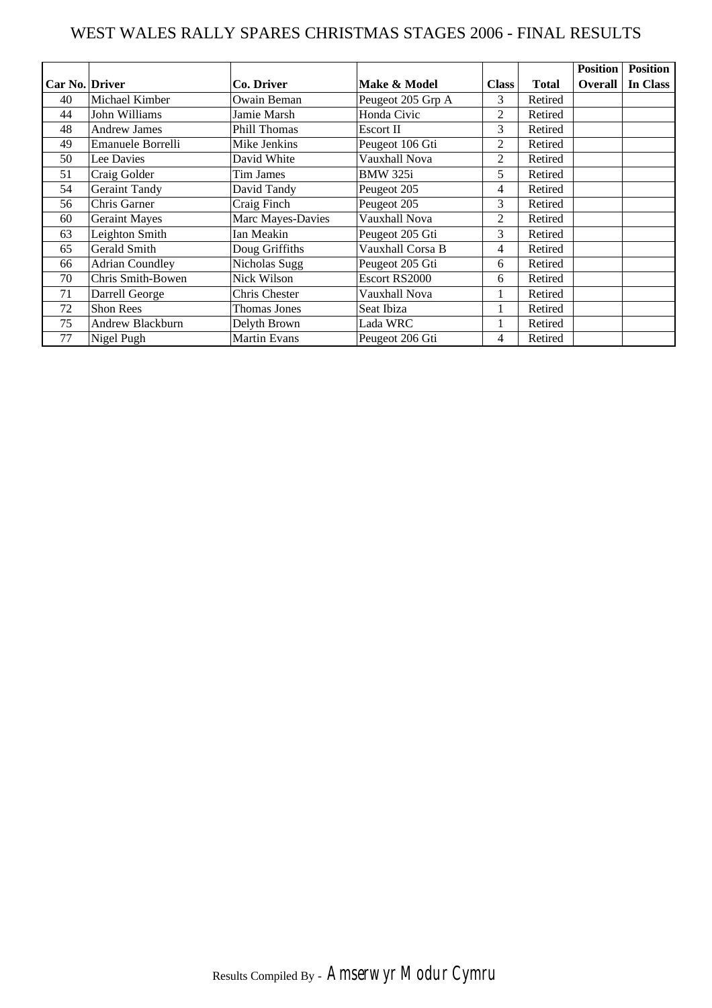## WEST WALES RALLY SPARES CHRISTMAS STAGES 2006 - FINAL RESULTS

|                |                        |                     |                   |                |              | <b>Position</b> | <b>Position</b> |
|----------------|------------------------|---------------------|-------------------|----------------|--------------|-----------------|-----------------|
| Car No. Driver |                        | Co. Driver          | Make & Model      | <b>Class</b>   | <b>Total</b> | Overall         | In Class        |
| 40             | Michael Kimber         | Owain Beman         | Peugeot 205 Grp A | 3              | Retired      |                 |                 |
| 44             | John Williams          | Jamie Marsh         | Honda Civic       | 2              | Retired      |                 |                 |
| 48             | <b>Andrew James</b>    | <b>Phill Thomas</b> | Escort II         | 3              | Retired      |                 |                 |
| 49             | Emanuele Borrelli      | Mike Jenkins        | Peugeot 106 Gti   | 2              | Retired      |                 |                 |
| 50             | Lee Davies             | David White         | Vauxhall Nova     | $\overline{2}$ | Retired      |                 |                 |
| 51             | Craig Golder           | Tim James           | <b>BMW 325i</b>   | 5              | Retired      |                 |                 |
| 54             | <b>Geraint Tandy</b>   | David Tandy         | Peugeot 205       | 4              | Retired      |                 |                 |
| 56             | Chris Garner           | Craig Finch         | Peugeot 205       | 3              | Retired      |                 |                 |
| 60             | <b>Geraint Mayes</b>   | Marc Mayes-Davies   | Vauxhall Nova     | 2              | Retired      |                 |                 |
| 63             | Leighton Smith         | Ian Meakin          | Peugeot 205 Gti   | 3              | Retired      |                 |                 |
| 65             | Gerald Smith           | Doug Griffiths      | Vauxhall Corsa B  | 4              | Retired      |                 |                 |
| 66             | <b>Adrian Coundley</b> | Nicholas Sugg       | Peugeot 205 Gti   | 6              | Retired      |                 |                 |
| 70             | Chris Smith-Bowen      | Nick Wilson         | Escort RS2000     | 6              | Retired      |                 |                 |
| 71             | Darrell George         | Chris Chester       | Vauxhall Nova     |                | Retired      |                 |                 |
| 72             | Shon Rees              | Thomas Jones        | Seat Ibiza        |                | Retired      |                 |                 |
| 75             | Andrew Blackburn       | Delyth Brown        | Lada WRC          |                | Retired      |                 |                 |
| 77             | Nigel Pugh             | <b>Martin Evans</b> | Peugeot 206 Gti   | 4              | Retired      |                 |                 |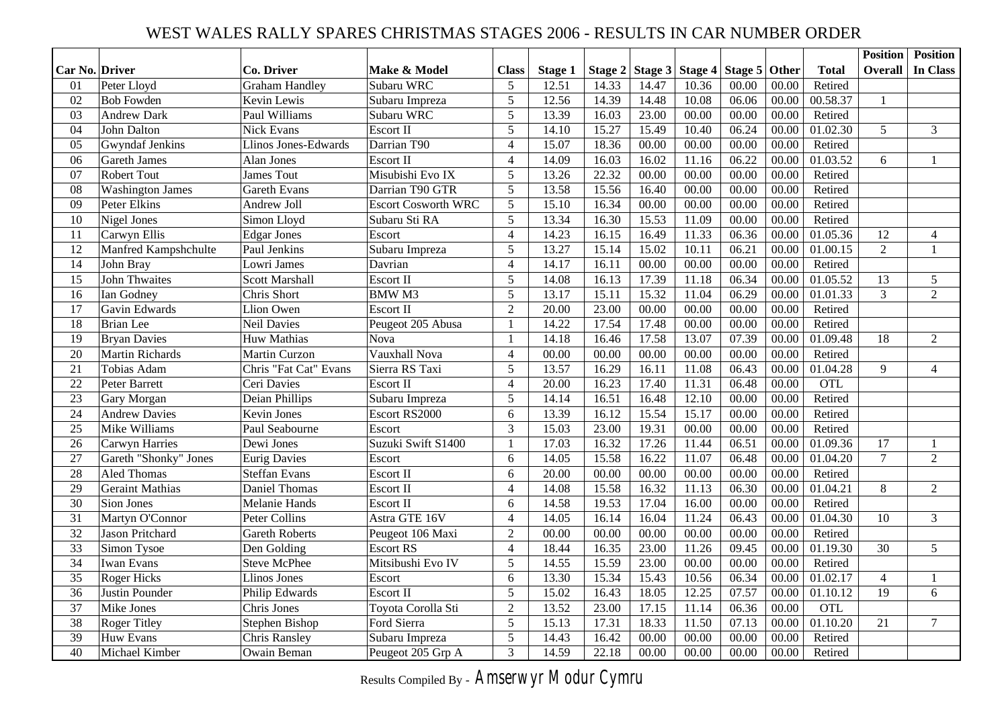## WEST WALES RALLY SPARES CHRISTMAS STAGES 2006 - RESULTS IN CAR NUMBER ORDER

|                       |                         |                       |                            |                |         |         |         |                 |       |       |              | <b>Position</b> | <b>Position</b> |
|-----------------------|-------------------------|-----------------------|----------------------------|----------------|---------|---------|---------|-----------------|-------|-------|--------------|-----------------|-----------------|
| <b>Car No. Driver</b> |                         | <b>Co. Driver</b>     | Make & Model               | <b>Class</b>   | Stage 1 | Stage 2 | Stage 3 | Stage 4 Stage 5 |       | Other | <b>Total</b> | <b>Overall</b>  | In Class        |
| 01                    | Peter Lloyd             | <b>Graham Handley</b> | Subaru WRC                 | 5              | 12.51   | 14.33   | 14.47   | 10.36           | 00.00 | 00.00 | Retired      |                 |                 |
| 02                    | <b>Bob Fowden</b>       | Kevin Lewis           | Subaru Impreza             | 5              | 12.56   | 14.39   | 14.48   | 10.08           | 06.06 | 00.00 | 00.58.37     | $\mathbf{1}$    |                 |
| 03                    | <b>Andrew Dark</b>      | Paul Williams         | Subaru WRC                 | 5              | 13.39   | 16.03   | 23.00   | 00.00           | 00.00 | 00.00 | Retired      |                 |                 |
| 04                    | John Dalton             | <b>Nick Evans</b>     | Escort II                  | 5              | 14.10   | 15.27   | 15.49   | 10.40           | 06.24 | 00.00 | 01.02.30     | 5               | $\overline{3}$  |
| 05                    | <b>Gwyndaf Jenkins</b>  | Llinos Jones-Edwards  | Darrian T90                | $\overline{4}$ | 15.07   | 18.36   | 00.00   | 00.00           | 00.00 | 00.00 | Retired      |                 |                 |
| 06                    | <b>Gareth James</b>     | Alan Jones            | Escort II                  | $\overline{4}$ | 14.09   | 16.03   | 16.02   | 11.16           | 06.22 | 00.00 | 01.03.52     | 6               | $\mathbf{1}$    |
| 07                    | <b>Robert Tout</b>      | <b>James Tout</b>     | Misubishi Evo IX           | 5              | 13.26   | 22.32   | 00.00   | 00.00           | 00.00 | 00.00 | Retired      |                 |                 |
| 08                    | <b>Washington James</b> | <b>Gareth Evans</b>   | Darrian T90 GTR            | 5              | 13.58   | 15.56   | 16.40   | 00.00           | 00.00 | 00.00 | Retired      |                 |                 |
| 09                    | Peter Elkins            | Andrew Joll           | <b>Escort Cosworth WRC</b> | 5              | 15.10   | 16.34   | 00.00   | 00.00           | 00.00 | 00.00 | Retired      |                 |                 |
| 10                    | Nigel Jones             | Simon Lloyd           | Subaru Sti RA              | 5              | 13.34   | 16.30   | 15.53   | 11.09           | 00.00 | 00.00 | Retired      |                 |                 |
| 11                    | Carwyn Ellis            | <b>Edgar Jones</b>    | Escort                     | $\overline{4}$ | 14.23   | 16.15   | 16.49   | 11.33           | 06.36 | 00.00 | 01.05.36     | 12              | $\overline{4}$  |
| $\overline{12}$       | Manfred Kampshchulte    | Paul Jenkins          | Subaru Impreza             | $\overline{5}$ | 13.27   | 15.14   | 15.02   | 10.11           | 06.21 | 00.00 | 01.00.15     | $\overline{2}$  | $\mathbf{1}$    |
| 14                    | John Bray               | Lowri James           | Davrian                    | $\overline{4}$ | 14.17   | 16.11   | 00.00   | 00.00           | 00.00 | 00.00 | Retired      |                 |                 |
| 15                    | <b>John Thwaites</b>    | <b>Scott Marshall</b> | Escort II                  | 5              | 14.08   | 16.13   | 17.39   | 11.18           | 06.34 | 00.00 | 01.05.52     | 13              | 5               |
| 16                    | Ian Godney              | Chris Short           | <b>BMW M3</b>              | 5              | 13.17   | 15.11   | 15.32   | 11.04           | 06.29 | 00.00 | 01.01.33     | 3               | $\overline{2}$  |
| $\overline{17}$       | Gavin Edwards           | <b>Llion Owen</b>     | Escort II                  | $\overline{2}$ | 20.00   | 23.00   | 00.00   | 00.00           | 00.00 | 00.00 | Retired      |                 |                 |
| 18                    | <b>Brian</b> Lee        | <b>Neil Davies</b>    | Peugeot 205 Abusa          | $\mathbf{1}$   | 14.22   | 17.54   | 17.48   | 00.00           | 00.00 | 00.00 | Retired      |                 |                 |
| 19                    | <b>Bryan Davies</b>     | Huw Mathias           | <b>Nova</b>                | $\mathbf{1}$   | 14.18   | 16.46   | 17.58   | 13.07           | 07.39 | 00.00 | 01.09.48     | 18              | $\overline{2}$  |
| 20                    | <b>Martin Richards</b>  | <b>Martin Curzon</b>  | Vauxhall Nova              | $\overline{4}$ | 00.00   | 00.00   | 00.00   | 00.00           | 00.00 | 00.00 | Retired      |                 |                 |
| 21                    | Tobias Adam             | Chris "Fat Cat" Evans | Sierra RS Taxi             | 5              | 13.57   | 16.29   | 16.11   | 11.08           | 06.43 | 00.00 | 01.04.28     | 9               | $\overline{4}$  |
| 22                    | Peter Barrett           | Ceri Davies           | Escort II                  | $\overline{4}$ | 20.00   | 16.23   | 17.40   | 11.31           | 06.48 | 00.00 | <b>OTL</b>   |                 |                 |
| 23                    | Gary Morgan             | Deian Phillips        | Subaru Impreza             | 5              | 14.14   | 16.51   | 16.48   | 12.10           | 00.00 | 00.00 | Retired      |                 |                 |
| 24                    | <b>Andrew Davies</b>    | <b>Kevin Jones</b>    | Escort RS2000              | 6              | 13.39   | 16.12   | 15.54   | 15.17           | 00.00 | 00.00 | Retired      |                 |                 |
| 25                    | Mike Williams           | Paul Seabourne        | Escort                     | 3              | 15.03   | 23.00   | 19.31   | 00.00           | 00.00 | 00.00 | Retired      |                 |                 |
| 26                    | <b>Carwyn Harries</b>   | Dewi Jones            | Suzuki Swift S1400         | $\mathbf{1}$   | 17.03   | 16.32   | 17.26   | 11.44           | 06.51 | 00.00 | 01.09.36     | 17              | $\mathbf{1}$    |
| 27                    | Gareth "Shonky" Jones   | <b>Eurig Davies</b>   | Escort                     | 6              | 14.05   | 15.58   | 16.22   | 11.07           | 06.48 | 00.00 | 01.04.20     | $\overline{7}$  | $\overline{2}$  |
| 28                    | Aled Thomas             | <b>Steffan Evans</b>  | Escort II                  | 6              | 20.00   | 00.00   | 00.00   | 00.00           | 00.00 | 00.00 | Retired      |                 |                 |
| 29                    | <b>Geraint Mathias</b>  | Daniel Thomas         | Escort II                  | $\overline{4}$ | 14.08   | 15.58   | 16.32   | 11.13           | 06.30 | 00.00 | 01.04.21     | 8               | $\overline{2}$  |
| 30                    | Sion Jones              | Melanie Hands         | Escort II                  | 6              | 14.58   | 19.53   | 17.04   | 16.00           | 00.00 | 00.00 | Retired      |                 |                 |
| 31                    | Martyn O'Connor         | Peter Collins         | Astra GTE 16V              | $\overline{4}$ | 14.05   | 16.14   | 16.04   | 11.24           | 06.43 | 00.00 | 01.04.30     | 10              | $\mathfrak{Z}$  |
| 32                    | Jason Pritchard         | <b>Gareth Roberts</b> | Peugeot 106 Maxi           | $\overline{2}$ | 00.00   | 00.00   | 00.00   | 00.00           | 00.00 | 00.00 | Retired      |                 |                 |
| 33                    | Simon Tysoe             | Den Golding           | <b>Escort RS</b>           | $\overline{4}$ | 18.44   | 16.35   | 23.00   | 11.26           | 09.45 | 00.00 | 01.19.30     | 30              | 5               |
| $\overline{34}$       | Iwan Evans              | <b>Steve McPhee</b>   | Mitsibushi Evo IV          | 5              | 14.55   | 15.59   | 23.00   | 00.00           | 00.00 | 00.00 | Retired      |                 |                 |
| 35                    | <b>Roger Hicks</b>      | Llinos Jones          | Escort                     | 6              | 13.30   | 15.34   | 15.43   | 10.56           | 06.34 | 00.00 | 01.02.17     | $\overline{4}$  | 1               |
| 36                    | Justin Pounder          | Philip Edwards        | Escort II                  | 5              | 15.02   | 16.43   | 18.05   | 12.25           | 07.57 | 00.00 | 01.10.12     | 19              | 6               |
| 37                    | <b>Mike Jones</b>       | Chris Jones           | Toyota Corolla Sti         | $\overline{2}$ | 13.52   | 23.00   | 17.15   | 11.14           | 06.36 | 00.00 | <b>OTL</b>   |                 |                 |
| 38                    | <b>Roger Titley</b>     | <b>Stephen Bishop</b> | Ford Sierra                | 5              | 15.13   | 17.31   | 18.33   | 11.50           | 07.13 | 00.00 | 01.10.20     | 21              | $\tau$          |
| 39                    | Huw Evans               | Chris Ransley         | Subaru Impreza             | 5              | 14.43   | 16.42   | 00.00   | 00.00           | 00.00 | 00.00 | Retired      |                 |                 |
| 40                    | Michael Kimber          | Owain Beman           | Peugeot 205 Grp A          | $\overline{3}$ | 14.59   | 22.18   | 00.00   | 00.00           | 00.00 | 00.00 | Retired      |                 |                 |

Results Compiled By - *Amserwyr Modur Cymru*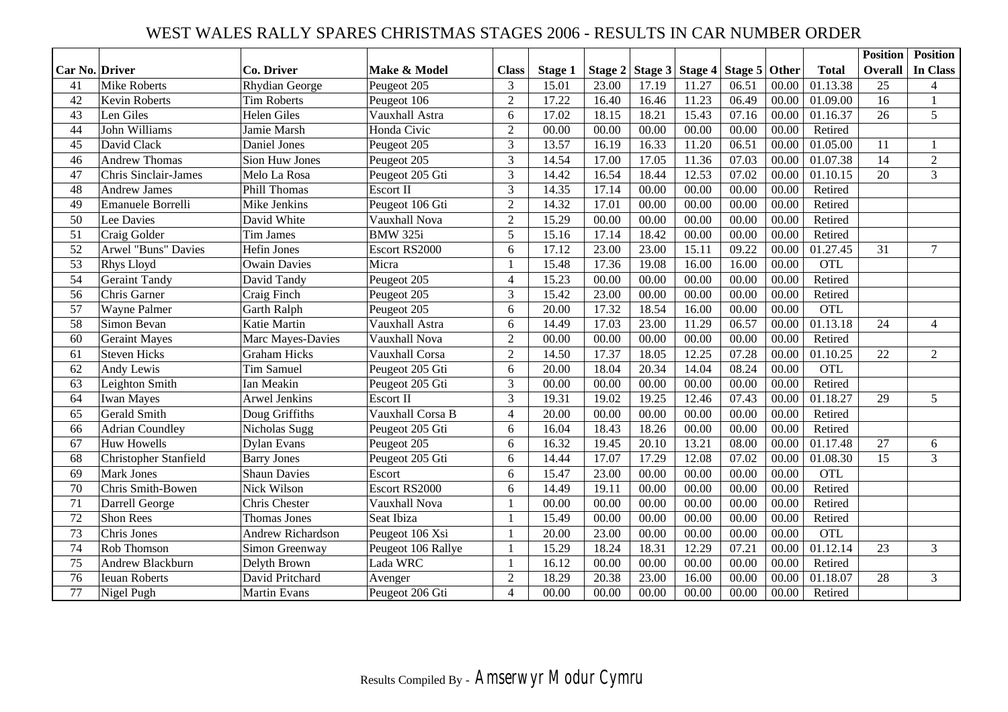## WEST WALES RALLY SPARES CHRISTMAS STAGES 2006 - RESULTS IN CAR NUMBER ORDER

|                |                             |                          |                    |                          |         |       |                                       |       |       |       |              | <b>Position</b> | <b>Position</b> |
|----------------|-----------------------------|--------------------------|--------------------|--------------------------|---------|-------|---------------------------------------|-------|-------|-------|--------------|-----------------|-----------------|
| Car No. Driver |                             | <b>Co. Driver</b>        | Make & Model       | <b>Class</b>             | Stage 1 |       | Stage 2 Stage 3 Stage 4 Stage 5 Other |       |       |       | <b>Total</b> | <b>Overall</b>  | In Class        |
| 41             | <b>Mike Roberts</b>         | <b>Rhydian George</b>    | Peugeot 205        | 3                        | 15.01   | 23.00 | 17.19                                 | 11.27 | 06.51 | 00.00 | 01.13.38     | 25              | $\overline{4}$  |
| 42             | Kevin Roberts               | <b>Tim Roberts</b>       | Peugeot 106        | $\overline{2}$           | 17.22   | 16.40 | 16.46                                 | 11.23 | 06.49 | 00.00 | 01.09.00     | 16              | $\mathbf{1}$    |
| 43             | Len Giles                   | <b>Helen Giles</b>       | Vauxhall Astra     | 6                        | 17.02   | 18.15 | 18.21                                 | 15.43 | 07.16 | 00.00 | 01.16.37     | 26              | 5               |
| 44             | John Williams               | Jamie Marsh              | Honda Civic        | $\overline{2}$           | 00.00   | 00.00 | 00.00                                 | 00.00 | 00.00 | 00.00 | Retired      |                 |                 |
| 45             | David Clack                 | Daniel Jones             | Peugeot 205        | 3                        | 13.57   | 16.19 | 16.33                                 | 11.20 | 06.51 | 00.00 | 01.05.00     | 11              | 1               |
| 46             | <b>Andrew Thomas</b>        | Sion Huw Jones           | Peugeot 205        | $\overline{3}$           | 14.54   | 17.00 | 17.05                                 | 11.36 | 07.03 | 00.00 | 01.07.38     | 14              | $\sqrt{2}$      |
| 47             | <b>Chris Sinclair-James</b> | Melo La Rosa             | Peugeot 205 Gti    | $\overline{3}$           | 14.42   | 16.54 | 18.44                                 | 12.53 | 07.02 | 00.00 | 01.10.15     | 20              | $\overline{3}$  |
| 48             | <b>Andrew James</b>         | <b>Phill Thomas</b>      | Escort II          | $\overline{3}$           | 14.35   | 17.14 | 00.00                                 | 00.00 | 00.00 | 00.00 | Retired      |                 |                 |
| 49             | Emanuele Borrelli           | Mike Jenkins             | Peugeot 106 Gti    | $\overline{2}$           | 14.32   | 17.01 | 00.00                                 | 00.00 | 00.00 | 00.00 | Retired      |                 |                 |
| 50             | Lee Davies                  | David White              | Vauxhall Nova      | $\overline{2}$           | 15.29   | 00.00 | 00.00                                 | 00.00 | 00.00 | 00.00 | Retired      |                 |                 |
| 51             | Craig Golder                | <b>Tim James</b>         | <b>BMW 325i</b>    | 5                        | 15.16   | 17.14 | 18.42                                 | 00.00 | 00.00 | 00.00 | Retired      |                 |                 |
| 52             | <b>Arwel "Buns" Davies</b>  | <b>Hefin Jones</b>       | Escort RS2000      | 6                        | 17.12   | 23.00 | 23.00                                 | 15.11 | 09.22 | 00.00 | 01.27.45     | 31              | $\overline{7}$  |
| 53             | Rhys Lloyd                  | <b>Owain Davies</b>      | Micra              |                          | 15.48   | 17.36 | 19.08                                 | 16.00 | 16.00 | 00.00 | <b>OTL</b>   |                 |                 |
| 54             | <b>Geraint Tandy</b>        | David Tandy              | Peugeot 205        | $\overline{4}$           | 15.23   | 00.00 | 00.00                                 | 00.00 | 00.00 | 00.00 | Retired      |                 |                 |
| 56             | Chris Garner                | Craig Finch              | Peugeot 205        | 3                        | 15.42   | 23.00 | 00.00                                 | 00.00 | 00.00 | 00.00 | Retired      |                 |                 |
| 57             | Wayne Palmer                | Garth Ralph              | Peugeot 205        | 6                        | 20.00   | 17.32 | 18.54                                 | 16.00 | 00.00 | 00.00 | <b>OTL</b>   |                 |                 |
| 58             | Simon Bevan                 | Katie Martin             | Vauxhall Astra     | 6                        | 14.49   | 17.03 | 23.00                                 | 11.29 | 06.57 | 00.00 | 01.13.18     | 24              | $\overline{4}$  |
| 60             | <b>Geraint Mayes</b>        | Marc Mayes-Davies        | Vauxhall Nova      | $\overline{2}$           | 00.00   | 00.00 | 00.00                                 | 00.00 | 00.00 | 00.00 | Retired      |                 |                 |
| 61             | <b>Steven Hicks</b>         | <b>Graham Hicks</b>      | Vauxhall Corsa     | 2                        | 14.50   | 17.37 | 18.05                                 | 12.25 | 07.28 | 00.00 | 01.10.25     | 22              | $\overline{2}$  |
| 62             | Andy Lewis                  | <b>Tim Samuel</b>        | Peugeot 205 Gti    | 6                        | 20.00   | 18.04 | 20.34                                 | 14.04 | 08.24 | 00.00 | <b>OTL</b>   |                 |                 |
| 63             | Leighton Smith              | <b>Ian Meakin</b>        | Peugeot 205 Gti    | 3                        | 00.00   | 00.00 | 00.00                                 | 00.00 | 00.00 | 00.00 | Retired      |                 |                 |
| 64             | <b>Iwan Mayes</b>           | <b>Arwel Jenkins</b>     | Escort II          | 3                        | 19.31   | 19.02 | 19.25                                 | 12.46 | 07.43 | 00.00 | 01.18.27     | 29              | 5               |
| 65             | Gerald Smith                | Doug Griffiths           | Vauxhall Corsa B   | $\overline{4}$           | 20.00   | 00.00 | 00.00                                 | 00.00 | 00.00 | 00.00 | Retired      |                 |                 |
| 66             | <b>Adrian Coundley</b>      | Nicholas Sugg            | Peugeot 205 Gti    | 6                        | 16.04   | 18.43 | 18.26                                 | 00.00 | 00.00 | 00.00 | Retired      |                 |                 |
| 67             | <b>Huw Howells</b>          | <b>Dylan Evans</b>       | Peugeot 205        | 6                        | 16.32   | 19.45 | 20.10                                 | 13.21 | 08.00 | 00.00 | 01.17.48     | 27              | 6               |
| 68             | Christopher Stanfield       | <b>Barry Jones</b>       | Peugeot 205 Gti    | 6                        | 14.44   | 17.07 | 17.29                                 | 12.08 | 07.02 | 00.00 | 01.08.30     | 15              | 3               |
| 69             | <b>Mark Jones</b>           | <b>Shaun Davies</b>      | Escort             | 6                        | 15.47   | 23.00 | 00.00                                 | 00.00 | 00.00 | 00.00 | <b>OTL</b>   |                 |                 |
| 70             | Chris Smith-Bowen           | Nick Wilson              | Escort RS2000      | 6                        | 14.49   | 19.11 | 00.00                                 | 00.00 | 00.00 | 00.00 | Retired      |                 |                 |
| 71             | Darrell George              | Chris Chester            | Vauxhall Nova      | $\mathbf{1}$             | 00.00   | 00.00 | 00.00                                 | 00.00 | 00.00 | 00.00 | Retired      |                 |                 |
| 72             | <b>Shon Rees</b>            | <b>Thomas Jones</b>      | Seat Ibiza         | $\mathbf{1}$             | 15.49   | 00.00 | 00.00                                 | 00.00 | 00.00 | 00.00 | Retired      |                 |                 |
| 73             | Chris Jones                 | <b>Andrew Richardson</b> | Peugeot 106 Xsi    | $\mathbf{1}$             | 20.00   | 23.00 | 00.00                                 | 00.00 | 00.00 | 00.00 | <b>OTL</b>   |                 |                 |
| 74             | Rob Thomson                 | Simon Greenway           | Peugeot 106 Rallye | $\mathbf{1}$             | 15.29   | 18.24 | 18.31                                 | 12.29 | 07.21 | 00.00 | 01.12.14     | 23              | 3               |
| 75             | Andrew Blackburn            | Delyth Brown             | Lada WRC           | $\mathbf{1}$             | 16.12   | 00.00 | 00.00                                 | 00.00 | 00.00 | 00.00 | Retired      |                 |                 |
| 76             | <b>Ieuan Roberts</b>        | David Pritchard          | Avenger            | $\overline{2}$           | 18.29   | 20.38 | 23.00                                 | 16.00 | 00.00 | 00.00 | 01.18.07     | 28              | $\overline{3}$  |
| 77             | Nigel Pugh                  | Martin Evans             | Peugeot 206 Gti    | $\overline{\mathcal{A}}$ | 00.00   | 00.00 | 00.00                                 | 00.00 | 00.00 | 00.00 | Retired      |                 |                 |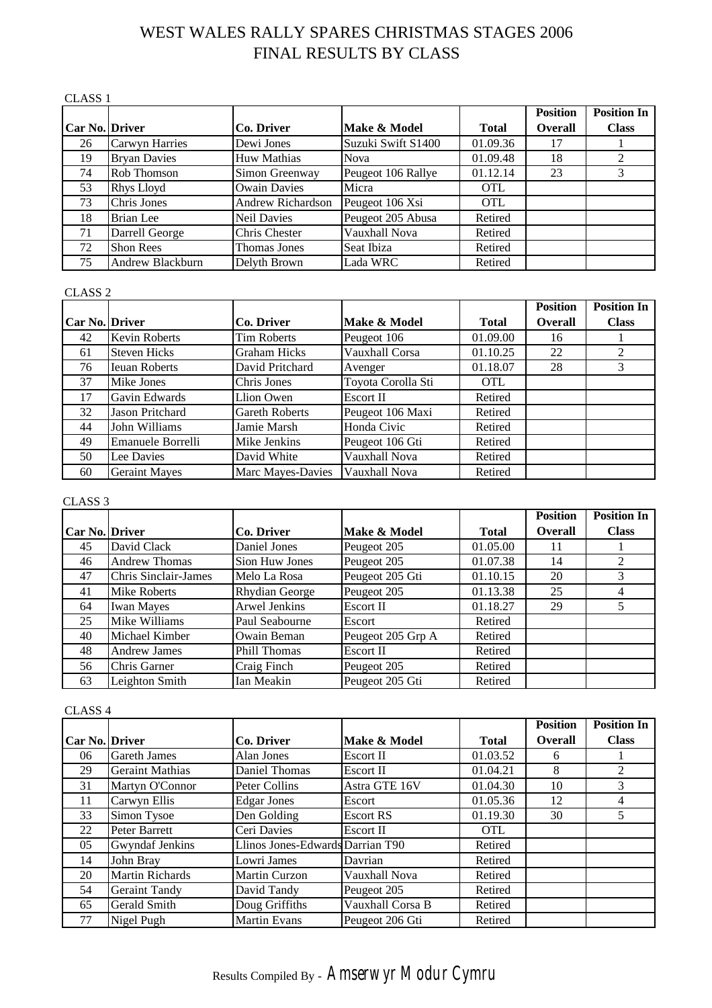# WEST WALES RALLY SPARES CHRISTMAS STAGES 2006 FINAL RESULTS BY CLASS

#### CLASS 1

|                       |                     |                     |                    |              | <b>Position</b> | <b>Position In</b> |
|-----------------------|---------------------|---------------------|--------------------|--------------|-----------------|--------------------|
| <b>Car No. Driver</b> |                     | Co. Driver          | Make & Model       | <b>Total</b> | <b>Overall</b>  | <b>Class</b>       |
| 26                    | Carwyn Harries      | Dewi Jones          | Suzuki Swift S1400 | 01.09.36     | 17              |                    |
| 19                    | <b>Bryan Davies</b> | <b>Huw Mathias</b>  | <b>Nova</b>        | 01.09.48     | 18              |                    |
| 74                    | Rob Thomson         | Simon Greenway      | Peugeot 106 Rallye | 01.12.14     | 23              | 3                  |
| 53                    | Rhys Lloyd          | <b>Owain Davies</b> | Micra              | <b>OTL</b>   |                 |                    |
| 73                    | Chris Jones         | Andrew Richardson   | Peugeot 106 Xsi    | <b>OTL</b>   |                 |                    |
| 18                    | Brian Lee           | <b>Neil Davies</b>  | Peugeot 205 Abusa  | Retired      |                 |                    |
| 71                    | Darrell George      | Chris Chester       | Vauxhall Nova      | Retired      |                 |                    |
| 72                    | <b>Shon Rees</b>    | Thomas Jones        | Seat Ibiza         | Retired      |                 |                    |
| 75                    | Andrew Blackburn    | Delyth Brown        | Lada WRC           | Retired      |                 |                    |

#### CLASS 2

|                       |                      |                       |                    |              | <b>Position</b> | <b>Position In</b> |
|-----------------------|----------------------|-----------------------|--------------------|--------------|-----------------|--------------------|
| <b>Car No. Driver</b> |                      | Co. Driver            | Make & Model       | <b>Total</b> | <b>Overall</b>  | <b>Class</b>       |
| 42                    | <b>Kevin Roberts</b> | Tim Roberts           | Peugeot 106        | 01.09.00     | 16              |                    |
| 61                    | <b>Steven Hicks</b>  | <b>Graham Hicks</b>   | Vauxhall Corsa     | 01.10.25     | 22              |                    |
| 76                    | <b>Ieuan Roberts</b> | David Pritchard       | Avenger            | 01.18.07     | 28              | 3                  |
| 37                    | Mike Jones           | Chris Jones           | Toyota Corolla Sti | <b>OTL</b>   |                 |                    |
| 17                    | Gavin Edwards        | Llion Owen            | Escort II          | Retired      |                 |                    |
| 32                    | Jason Pritchard      | <b>Gareth Roberts</b> | Peugeot 106 Maxi   | Retired      |                 |                    |
| 44                    | John Williams        | Jamie Marsh           | Honda Civic        | Retired      |                 |                    |
| 49                    | Emanuele Borrelli    | Mike Jenkins          | Peugeot 106 Gti    | Retired      |                 |                    |
| 50                    | Lee Davies           | David White           | Vauxhall Nova      | Retired      |                 |                    |
| 60                    | <b>Geraint Mayes</b> | Marc Mayes-Davies     | Vauxhall Nova      | Retired      |                 |                    |

#### CLASS 3

|                       |                      |                       |                   |              | <b>Position</b> | <b>Position In</b> |
|-----------------------|----------------------|-----------------------|-------------------|--------------|-----------------|--------------------|
| <b>Car No. Driver</b> |                      | Co. Driver            | Make & Model      | <b>Total</b> | <b>Overall</b>  | <b>Class</b>       |
| 45                    | David Clack          | Daniel Jones          | Peugeot 205       | 01.05.00     | 11              |                    |
| 46                    | <b>Andrew Thomas</b> | Sion Huw Jones        | Peugeot 205       | 01.07.38     | 14              |                    |
| 47                    | Chris Sinclair-James | Melo La Rosa          | Peugeot 205 Gti   | 01.10.15     | 20              | 3                  |
| 41                    | Mike Roberts         | <b>Rhydian George</b> | Peugeot 205       | 01.13.38     | 25              |                    |
| 64                    | <b>Iwan Mayes</b>    | Arwel Jenkins         | Escort II         | 01.18.27     | 29              |                    |
| 25                    | Mike Williams        | Paul Seabourne        | Escort            | Retired      |                 |                    |
| 40                    | Michael Kimber       | Owain Beman           | Peugeot 205 Grp A | Retired      |                 |                    |
| 48                    | <b>Andrew James</b>  | <b>Phill Thomas</b>   | Escort II         | Retired      |                 |                    |
| 56                    | Chris Garner         | Craig Finch           | Peugeot 205       | Retired      |                 |                    |
| 63                    | Leighton Smith       | Ian Meakin            | Peugeot 205 Gti   | Retired      |                 |                    |

#### CLASS 4

|                       |                        |                                  |                  |              | <b>Position</b> | <b>Position In</b> |
|-----------------------|------------------------|----------------------------------|------------------|--------------|-----------------|--------------------|
| <b>Car No. Driver</b> |                        | Co. Driver                       | Make & Model     | <b>Total</b> | <b>Overall</b>  | <b>Class</b>       |
| 06                    | <b>Gareth James</b>    | Alan Jones                       | Escort II        | 01.03.52     | 6               |                    |
| 29                    | <b>Geraint Mathias</b> | Daniel Thomas                    | Escort II        | 01.04.21     | 8               | 2                  |
| 31                    | Martyn O'Connor        | Peter Collins                    | Astra GTE 16V    | 01.04.30     | 10              | 3                  |
| 11                    | Carwyn Ellis           | <b>Edgar Jones</b>               | Escort           | 01.05.36     | 12              | 4                  |
| 33                    | Simon Tysoe            | Den Golding                      | <b>Escort RS</b> | 01.19.30     | 30              | 5                  |
| 22                    | Peter Barrett          | Ceri Davies                      | Escort II        | <b>OTL</b>   |                 |                    |
| 05                    | <b>Gwyndaf Jenkins</b> | Llinos Jones-Edwards Darrian T90 |                  | Retired      |                 |                    |
| 14                    | John Bray              | Lowri James                      | Davrian          | Retired      |                 |                    |
| 20                    | <b>Martin Richards</b> | Martin Curzon                    | Vauxhall Nova    | Retired      |                 |                    |
| 54                    | <b>Geraint Tandy</b>   | David Tandy                      | Peugeot 205      | Retired      |                 |                    |
| 65                    | Gerald Smith           | Doug Griffiths                   | Vauxhall Corsa B | Retired      |                 |                    |
| 77                    | Nigel Pugh             | <b>Martin Evans</b>              | Peugeot 206 Gti  | Retired      |                 |                    |

# Results Compiled By - *Amserwyr Modur Cymru*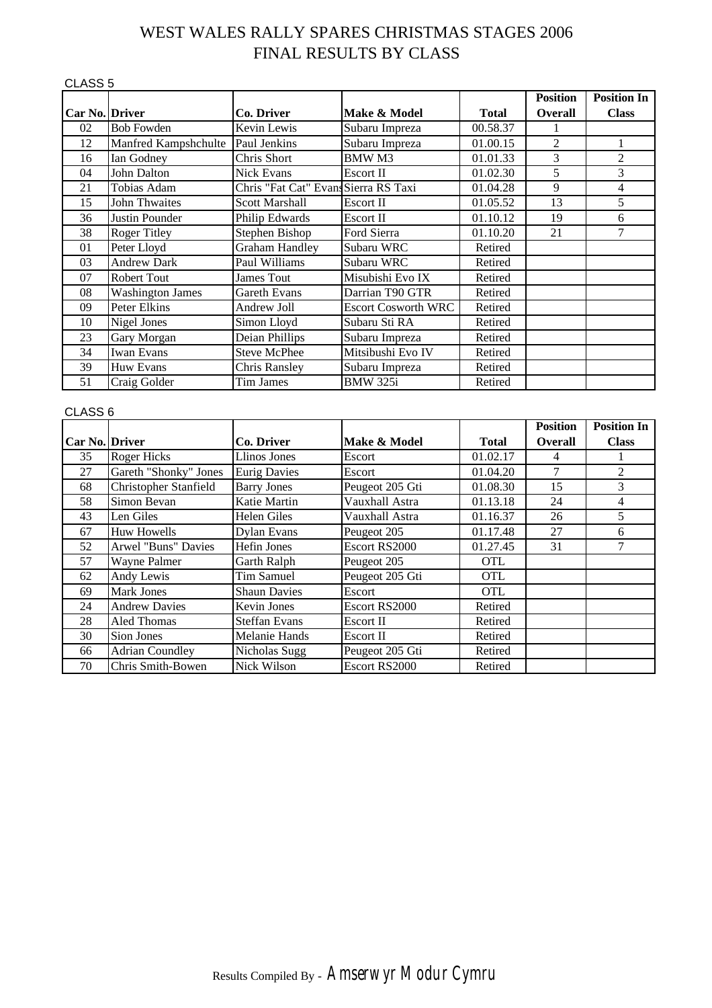# WEST WALES RALLY SPARES CHRISTMAS STAGES 2006 FINAL RESULTS BY CLASS

| CLASS <sub>5</sub>    |                         |                                      |                            |              |                 |                    |
|-----------------------|-------------------------|--------------------------------------|----------------------------|--------------|-----------------|--------------------|
|                       |                         |                                      |                            |              | <b>Position</b> | <b>Position In</b> |
| <b>Car No. Driver</b> |                         | Co. Driver                           | Make & Model               | <b>Total</b> | <b>Overall</b>  | <b>Class</b>       |
| 02                    | <b>Bob Fowden</b>       | Kevin Lewis                          | Subaru Impreza             | 00.58.37     |                 |                    |
| 12                    | Manfred Kampshchulte    | Paul Jenkins                         | Subaru Impreza             | 01.00.15     | $\overline{2}$  |                    |
| 16                    | Ian Godney              | Chris Short                          | <b>BMWM3</b>               | 01.01.33     | 3               | $\overline{2}$     |
| 04                    | John Dalton             | <b>Nick Evans</b>                    | Escort II                  | 01.02.30     | 5               | 3                  |
| 21                    | Tobias Adam             | Chris "Fat Cat" Evans Sierra RS Taxi |                            | 01.04.28     | 9               | 4                  |
| 15                    | John Thwaites           | <b>Scott Marshall</b>                | Escort II                  | 01.05.52     | 13              | 5                  |
| 36                    | Justin Pounder          | Philip Edwards                       | Escort II                  | 01.10.12     | 19              | 6                  |
| 38                    | <b>Roger Titley</b>     | Stephen Bishop                       | Ford Sierra                | 01.10.20     | 21              | $\overline{7}$     |
| 01                    | Peter Lloyd             | <b>Graham Handley</b>                | Subaru WRC                 | Retired      |                 |                    |
| 03                    | <b>Andrew Dark</b>      | Paul Williams                        | Subaru WRC                 | Retired      |                 |                    |
| 07                    | Robert Tout             | <b>James Tout</b>                    | Misubishi Evo IX           | Retired      |                 |                    |
| 08                    | <b>Washington James</b> | Gareth Evans                         | Darrian T90 GTR            | Retired      |                 |                    |
| 09                    | Peter Elkins            | Andrew Joll                          | <b>Escort Cosworth WRC</b> | Retired      |                 |                    |
| 10                    | Nigel Jones             | Simon Lloyd                          | Subaru Sti RA              | Retired      |                 |                    |
| 23                    | Gary Morgan             | Deian Phillips                       | Subaru Impreza             | Retired      |                 |                    |
| 34                    | <b>Iwan Evans</b>       | <b>Steve McPhee</b>                  | Mitsibushi Evo IV          | Retired      |                 |                    |
| 39                    | Huw Evans               | <b>Chris Ransley</b>                 | Subaru Impreza             | Retired      |                 |                    |
| 51                    | Craig Golder            | Tim James                            | <b>BMW 325i</b>            | Retired      |                 |                    |

#### CLASS 6

|                |                        |                      |                 |              | <b>Position</b> | <b>Position In</b> |
|----------------|------------------------|----------------------|-----------------|--------------|-----------------|--------------------|
| Car No. Driver |                        | Co. Driver           | Make & Model    | <b>Total</b> | <b>Overall</b>  | <b>Class</b>       |
| 35             | <b>Roger Hicks</b>     | Llinos Jones         | Escort          | 01.02.17     | 4               |                    |
| 27             | Gareth "Shonky" Jones  | <b>Eurig Davies</b>  | Escort          | 01.04.20     |                 | 2                  |
| 68             | Christopher Stanfield  | <b>Barry Jones</b>   | Peugeot 205 Gti | 01.08.30     | 15              | 3                  |
| 58             | Simon Bevan            | Katie Martin         | Vauxhall Astra  | 01.13.18     | 24              | 4                  |
| 43             | Len Giles              | Helen Giles          | Vauxhall Astra  | 01.16.37     | 26              | 5                  |
| 67             | <b>Huw Howells</b>     | <b>Dylan Evans</b>   | Peugeot 205     | 01.17.48     | 27              | 6                  |
| 52             | Arwel "Buns" Davies    | Hefin Jones          | Escort RS2000   | 01.27.45     | 31              | 7                  |
| 57             | Wayne Palmer           | Garth Ralph          | Peugeot 205     | <b>OTL</b>   |                 |                    |
| 62             | Andy Lewis             | Tim Samuel           | Peugeot 205 Gti | <b>OTL</b>   |                 |                    |
| 69             | <b>Mark Jones</b>      | <b>Shaun Davies</b>  | Escort          | <b>OTL</b>   |                 |                    |
| 24             | <b>Andrew Davies</b>   | Kevin Jones          | Escort RS2000   | Retired      |                 |                    |
| 28             | Aled Thomas            | <b>Steffan Evans</b> | Escort II       | Retired      |                 |                    |
| 30             | Sion Jones             | <b>Melanie Hands</b> | Escort II       | Retired      |                 |                    |
| 66             | <b>Adrian Coundley</b> | Nicholas Sugg        | Peugeot 205 Gti | Retired      |                 |                    |
| 70             | Chris Smith-Bowen      | Nick Wilson          | Escort RS2000   | Retired      |                 |                    |